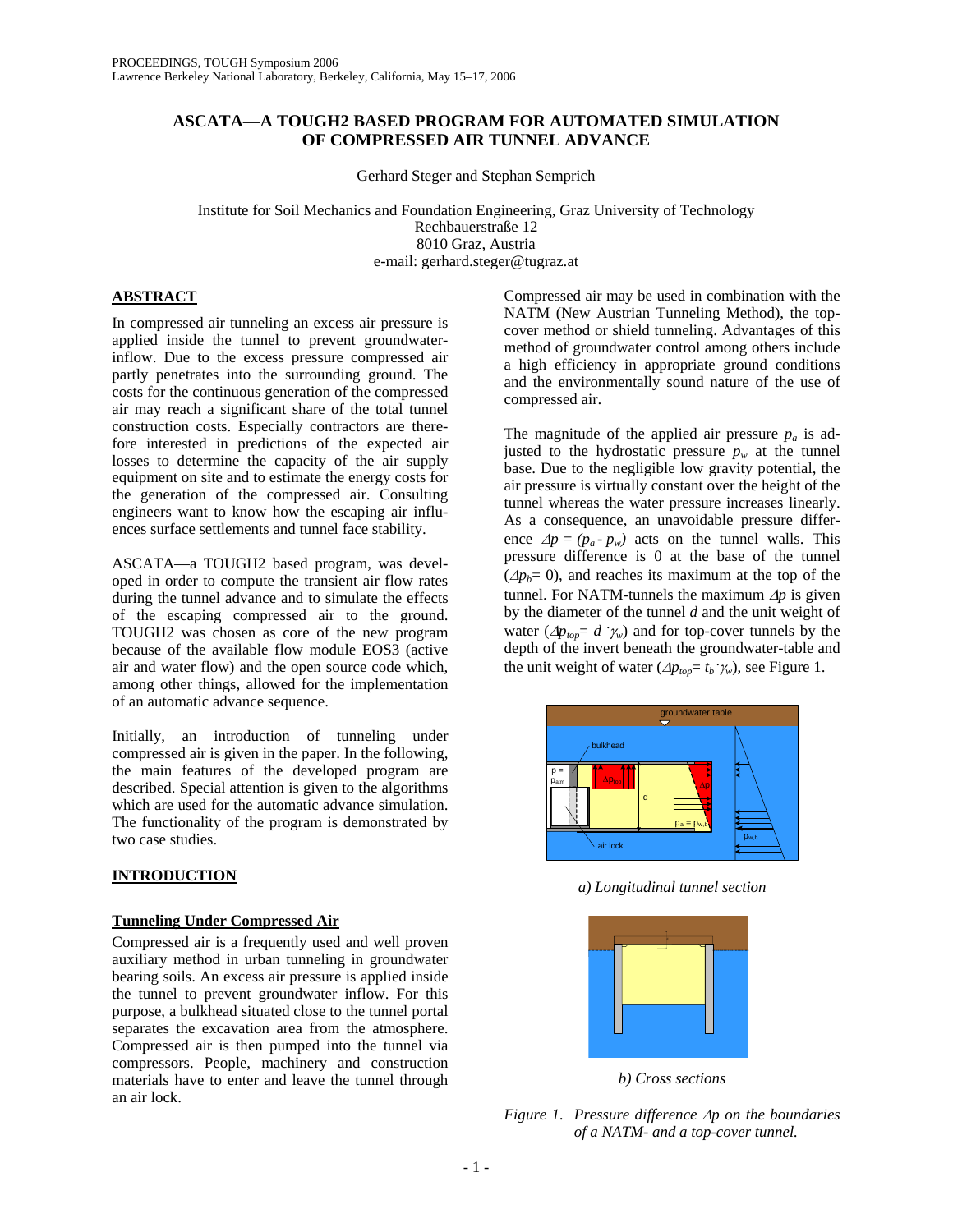# **ASCATA—A TOUGH2 BASED PROGRAM FOR AUTOMATED SIMULATION OF COMPRESSED AIR TUNNEL ADVANCE**

Gerhard Steger and Stephan Semprich

Institute for Soil Mechanics and Foundation Engineering, Graz University of Technology Rechbauerstraße 12 8010 Graz, Austria e-mail: gerhard.steger@tugraz.at

# **ABSTRACT**

In compressed air tunneling an excess air pressure is applied inside the tunnel to prevent groundwaterinflow. Due to the excess pressure compressed air partly penetrates into the surrounding ground. The costs for the continuous generation of the compressed air may reach a significant share of the total tunnel construction costs. Especially contractors are therefore interested in predictions of the expected air losses to determine the capacity of the air supply equipment on site and to estimate the energy costs for the generation of the compressed air. Consulting engineers want to know how the escaping air influences surface settlements and tunnel face stability.

ASCATA—a TOUGH2 based program, was developed in order to compute the transient air flow rates during the tunnel advance and to simulate the effects of the escaping compressed air to the ground. TOUGH2 was chosen as core of the new program because of the available flow module EOS3 (active air and water flow) and the open source code which, among other things, allowed for the implementation of an automatic advance sequence.

Initially, an introduction of tunneling under compressed air is given in the paper. In the following, the main features of the developed program are described. Special attention is given to the algorithms which are used for the automatic advance simulation. The functionality of the program is demonstrated by two case studies.

# **INTRODUCTION**

### **Tunneling Under Compressed Air**

Compressed air is a frequently used and well proven auxiliary method in urban tunneling in groundwater bearing soils. An excess air pressure is applied inside the tunnel to prevent groundwater inflow. For this purpose, a bulkhead situated close to the tunnel portal separates the excavation area from the atmosphere. Compressed air is then pumped into the tunnel via compressors. People, machinery and construction materials have to enter and leave the tunnel through an air lock.

Compressed air may be used in combination with the NATM (New Austrian Tunneling Method), the topcover method or shield tunneling. Advantages of this method of groundwater control among others include a high efficiency in appropriate ground conditions and the environmentally sound nature of the use of compressed air.

The magnitude of the applied air pressure  $p_a$  is adjusted to the hydrostatic pressure  $p_w$  at the tunnel base. Due to the negligible low gravity potential, the air pressure is virtually constant over the height of the tunnel whereas the water pressure increases linearly. As a consequence, an unavoidable pressure difference  $\Delta p = (p_a - p_w)$  acts on the tunnel walls. This pressure difference is 0 at the base of the tunnel  $(\Delta p_b= 0)$ , and reaches its maximum at the top of the tunnel. For NATM-tunnels the maximum ∆*p* is given by the diameter of the tunnel *d* and the unit weight of water ( $\Delta p_{top} = d \hat{v}_w$ ) and for top-cover tunnels by the depth of the invert beneath the groundwater-table and the unit weight of water  $(\Delta p_{top} = t_b \cdot \gamma_w)$ , see Figure 1.



*a) Longitudinal tunnel section* 



*b) Cross sections* 

*Figure 1. Pressure difference* ∆*p on the boundaries of a NATM- and a top-cover tunnel.*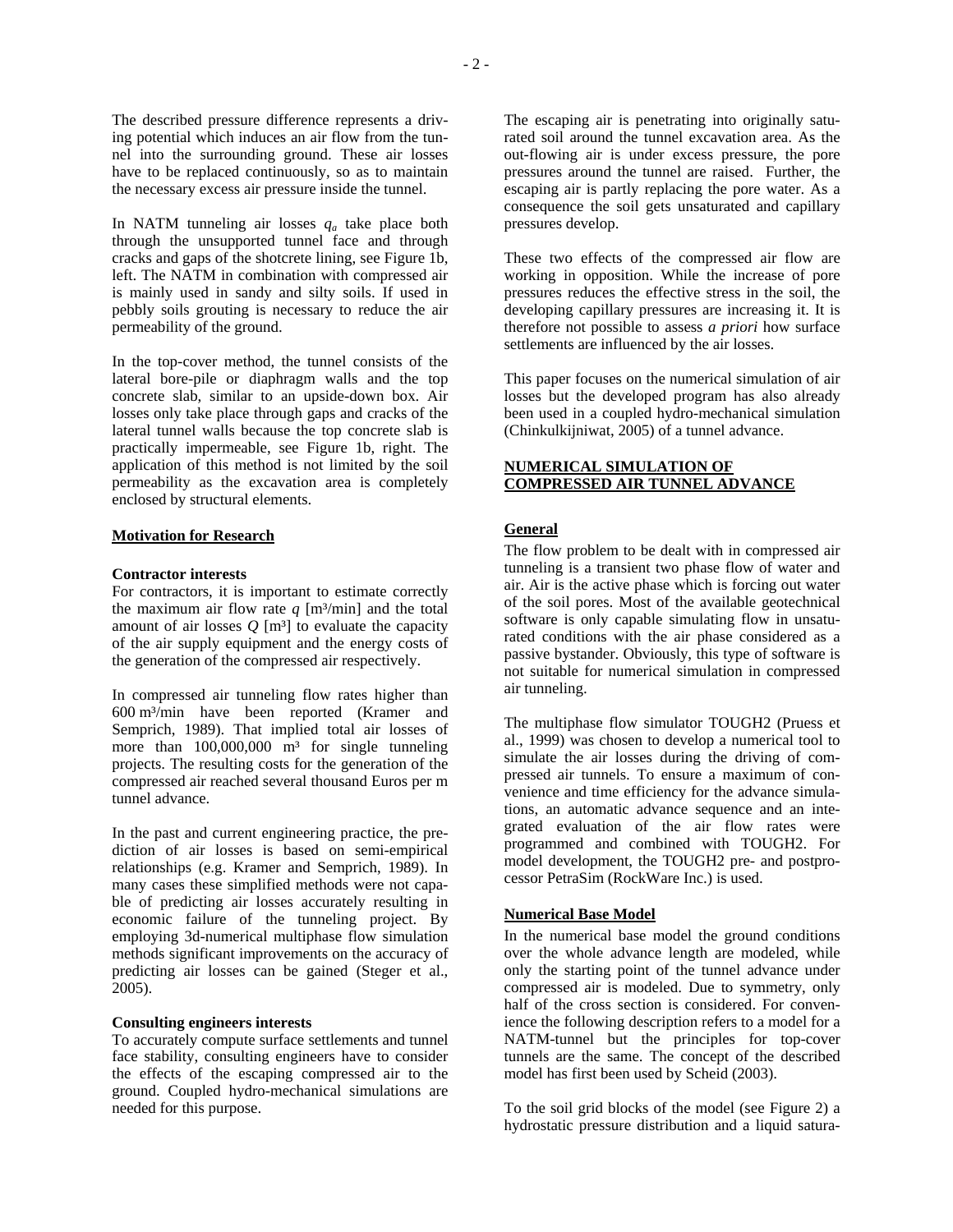The described pressure difference represents a driving potential which induces an air flow from the tunnel into the surrounding ground. These air losses have to be replaced continuously, so as to maintain the necessary excess air pressure inside the tunnel.

In NATM tunneling air losses  $q_a$  take place both through the unsupported tunnel face and through cracks and gaps of the shotcrete lining, see Figure 1b, left. The NATM in combination with compressed air is mainly used in sandy and silty soils. If used in pebbly soils grouting is necessary to reduce the air permeability of the ground.

In the top-cover method, the tunnel consists of the lateral bore-pile or diaphragm walls and the top concrete slab, similar to an upside-down box. Air losses only take place through gaps and cracks of the lateral tunnel walls because the top concrete slab is practically impermeable, see Figure 1b, right. The application of this method is not limited by the soil permeability as the excavation area is completely enclosed by structural elements.

### **Motivation for Research**

### **Contractor interests**

For contractors, it is important to estimate correctly the maximum air flow rate  $q \lfloor m^3/min \rfloor$  and the total amount of air losses  $Q$  [m<sup>3</sup>] to evaluate the capacity of the air supply equipment and the energy costs of the generation of the compressed air respectively.

In compressed air tunneling flow rates higher than 600 m³/min have been reported (Kramer and Semprich, 1989). That implied total air losses of more than  $100,000,000$  m<sup>3</sup> for single tunneling projects. The resulting costs for the generation of the compressed air reached several thousand Euros per m tunnel advance.

In the past and current engineering practice, the prediction of air losses is based on semi-empirical relationships (e.g. Kramer and Semprich, 1989). In many cases these simplified methods were not capable of predicting air losses accurately resulting in economic failure of the tunneling project. By employing 3d-numerical multiphase flow simulation methods significant improvements on the accuracy of predicting air losses can be gained (Steger et al., 2005).

### **Consulting engineers interests**

To accurately compute surface settlements and tunnel face stability, consulting engineers have to consider the effects of the escaping compressed air to the ground. Coupled hydro-mechanical simulations are needed for this purpose.

The escaping air is penetrating into originally saturated soil around the tunnel excavation area. As the out-flowing air is under excess pressure, the pore pressures around the tunnel are raised. Further, the escaping air is partly replacing the pore water. As a consequence the soil gets unsaturated and capillary pressures develop.

These two effects of the compressed air flow are working in opposition. While the increase of pore pressures reduces the effective stress in the soil, the developing capillary pressures are increasing it. It is therefore not possible to assess *a priori* how surface settlements are influenced by the air losses.

This paper focuses on the numerical simulation of air losses but the developed program has also already been used in a coupled hydro-mechanical simulation (Chinkulkijniwat, 2005) of a tunnel advance.

# **NUMERICAL SIMULATION OF COMPRESSED AIR TUNNEL ADVANCE**

## **General**

The flow problem to be dealt with in compressed air tunneling is a transient two phase flow of water and air. Air is the active phase which is forcing out water of the soil pores. Most of the available geotechnical software is only capable simulating flow in unsaturated conditions with the air phase considered as a passive bystander. Obviously, this type of software is not suitable for numerical simulation in compressed air tunneling.

The multiphase flow simulator TOUGH2 (Pruess et al., 1999) was chosen to develop a numerical tool to simulate the air losses during the driving of compressed air tunnels. To ensure a maximum of convenience and time efficiency for the advance simulations, an automatic advance sequence and an integrated evaluation of the air flow rates were programmed and combined with TOUGH2. For model development, the TOUGH2 pre- and postprocessor PetraSim (RockWare Inc.) is used.

# **Numerical Base Model**

In the numerical base model the ground conditions over the whole advance length are modeled, while only the starting point of the tunnel advance under compressed air is modeled. Due to symmetry, only half of the cross section is considered. For convenience the following description refers to a model for a NATM-tunnel but the principles for top-cover tunnels are the same. The concept of the described model has first been used by Scheid (2003).

To the soil grid blocks of the model (see Figure 2) a hydrostatic pressure distribution and a liquid satura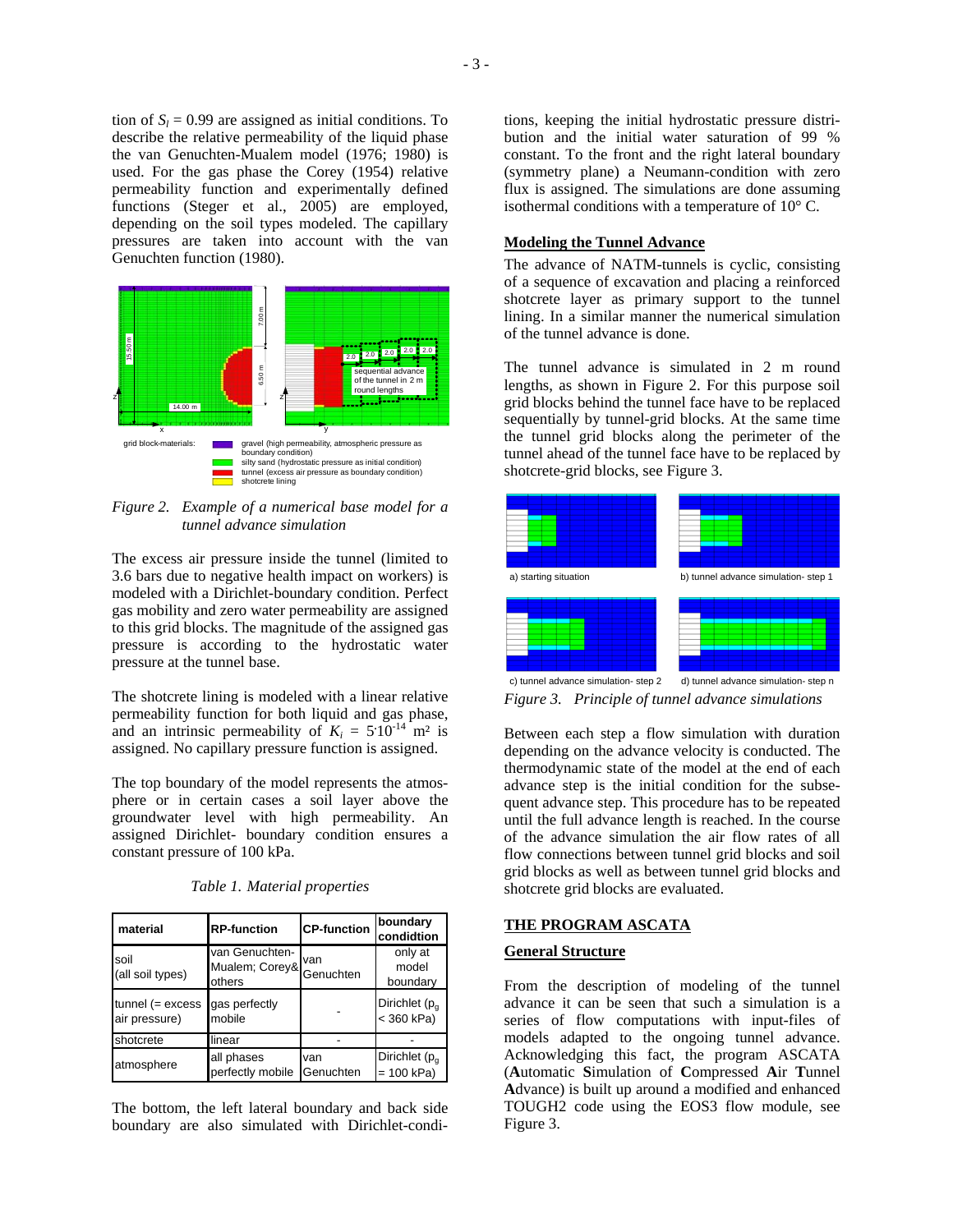tion of  $S_l = 0.99$  are assigned as initial conditions. To describe the relative permeability of the liquid phase the van Genuchten-Mualem model (1976; 1980) is used. For the gas phase the Corey (1954) relative permeability function and experimentally defined functions (Steger et al., 2005) are employed, depending on the soil types modeled. The capillary pressures are taken into account with the van Genuchten function (1980).



*Figure 2. Example of a numerical base model for a tunnel advance simulation* 

The excess air pressure inside the tunnel (limited to 3.6 bars due to negative health impact on workers) is modeled with a Dirichlet-boundary condition. Perfect gas mobility and zero water permeability are assigned to this grid blocks. The magnitude of the assigned gas pressure is according to the hydrostatic water pressure at the tunnel base.

The shotcrete lining is modeled with a linear relative permeability function for both liquid and gas phase, and an intrinsic permeability of  $K_i = 5.10^{-14}$  m<sup>2</sup> is assigned. No capillary pressure function is assigned.

The top boundary of the model represents the atmosphere or in certain cases a soil layer above the groundwater level with high permeability. An assigned Dirichlet- boundary condition ensures a constant pressure of 100 kPa.

| Table 1. Material properties |
|------------------------------|
|------------------------------|

| material                            | <b>RP-function</b>                         | <b>CP-function</b> | boundary<br>condidtion                    |
|-------------------------------------|--------------------------------------------|--------------------|-------------------------------------------|
| soil<br>(all soil types)            | van Genuchten-<br>Mualem; Corey&<br>others | van<br>Genuchten   | only at<br>model<br>boundary              |
| $tunnel (= excess$<br>air pressure) | gas perfectly<br>mobile                    |                    | Dirichlet (p <sub>g</sub><br>$<$ 360 kPa) |
| shotcrete                           | linear                                     |                    |                                           |
| atmosphere                          | all phases<br>perfectly mobile             | van<br>Genuchten   | Dirichlet $(p_{q}$<br>$= 100$ kPa)        |

The bottom, the left lateral boundary and back side boundary are also simulated with Dirichlet-conditions, keeping the initial hydrostatic pressure distribution and the initial water saturation of 99 % constant. To the front and the right lateral boundary (symmetry plane) a Neumann-condition with zero flux is assigned. The simulations are done assuming isothermal conditions with a temperature of 10° C.

## **Modeling the Tunnel Advance**

The advance of NATM-tunnels is cyclic, consisting of a sequence of excavation and placing a reinforced shotcrete layer as primary support to the tunnel lining. In a similar manner the numerical simulation of the tunnel advance is done.

The tunnel advance is simulated in 2 m round lengths, as shown in Figure 2. For this purpose soil grid blocks behind the tunnel face have to be replaced sequentially by tunnel-grid blocks. At the same time the tunnel grid blocks along the perimeter of the tunnel ahead of the tunnel face have to be replaced by shotcrete-grid blocks, see Figure 3.



c) tunnel advance simulation- step 2 d) tunnel advance simulation- step n *Figure 3. Principle of tunnel advance simulations* 

Between each step a flow simulation with duration depending on the advance velocity is conducted. The thermodynamic state of the model at the end of each advance step is the initial condition for the subsequent advance step. This procedure has to be repeated until the full advance length is reached. In the course of the advance simulation the air flow rates of all flow connections between tunnel grid blocks and soil grid blocks as well as between tunnel grid blocks and shotcrete grid blocks are evaluated.

### **THE PROGRAM ASCATA**

### **General Structure**

From the description of modeling of the tunnel advance it can be seen that such a simulation is a series of flow computations with input-files of models adapted to the ongoing tunnel advance. Acknowledging this fact, the program ASCATA (**A**utomatic **S**imulation of **C**ompressed **A**ir **T**unnel **A**dvance) is built up around a modified and enhanced TOUGH2 code using the EOS3 flow module, see Figure 3.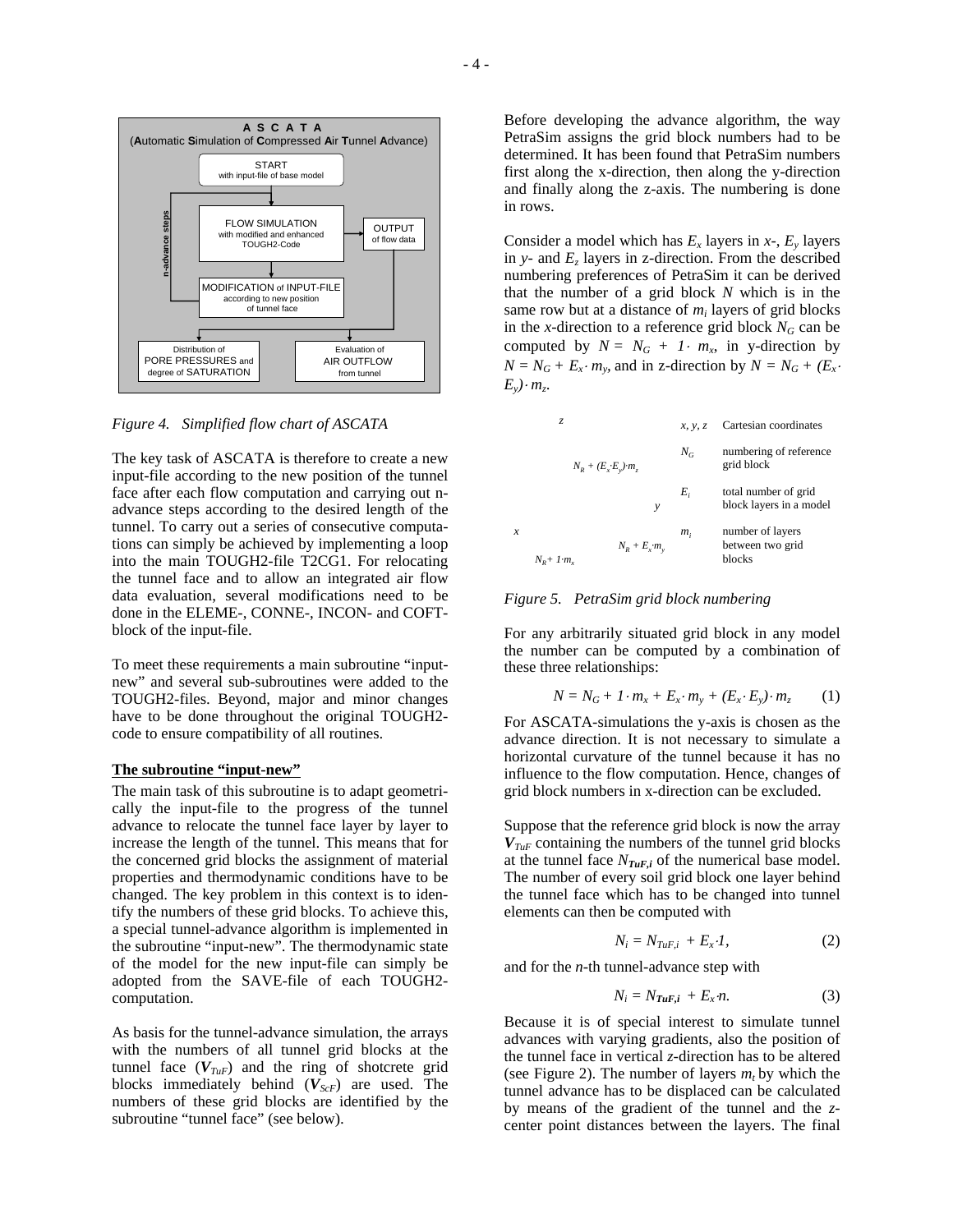

*Figure 4. Simplified flow chart of ASCATA* 

The key task of ASCATA is therefore to create a new input-file according to the new position of the tunnel face after each flow computation and carrying out nadvance steps according to the desired length of the tunnel. To carry out a series of consecutive computations can simply be achieved by implementing a loop into the main TOUGH2-file T2CG1. For relocating the tunnel face and to allow an integrated air flow data evaluation, several modifications need to be done in the ELEME-, CONNE-, INCON- and COFTblock of the input-file.

To meet these requirements a main subroutine "inputnew" and several sub-subroutines were added to the TOUGH2-files. Beyond, major and minor changes have to be done throughout the original TOUGH2 code to ensure compatibility of all routines.

## **The subroutine "input-new"**

The main task of this subroutine is to adapt geometrically the input-file to the progress of the tunnel advance to relocate the tunnel face layer by layer to increase the length of the tunnel. This means that for the concerned grid blocks the assignment of material properties and thermodynamic conditions have to be changed. The key problem in this context is to identify the numbers of these grid blocks. To achieve this, a special tunnel-advance algorithm is implemented in the subroutine "input-new". The thermodynamic state of the model for the new input-file can simply be adopted from the SAVE-file of each TOUGH2 computation.

As basis for the tunnel-advance simulation, the arrays with the numbers of all tunnel grid blocks at the tunnel face  $(V_{\mathit{TuF}})$  and the ring of shotcrete grid blocks immediately behind ( $V_{ScF}$ ) are used. The numbers of these grid blocks are identified by the subroutine "tunnel face" (see below).

Before developing the advance algorithm, the way PetraSim assigns the grid block numbers had to be determined. It has been found that PetraSim numbers first along the x-direction, then along the y-direction and finally along the z-axis. The numbering is done in rows.

Consider a model which has  $E_x$  layers in  $x$ -,  $E_y$  layers in  $y$ - and  $E<sub>z</sub>$  layers in z-direction. From the described numbering preferences of PetraSim it can be derived that the number of a grid block *N* which is in the same row but at a distance of *mi* layers of grid blocks in the *x*-direction to a reference grid block  $N_G$  can be computed by  $N = N_G + 1 \cdot m_x$ , in y-direction by  $N = N_G + E_x \cdot m_y$ , and in z-direction by  $N = N_G + (E_x \cdot m_y)$  $E_y$ ) ·  $m_z$ .

|   | Z.                                                     | x, y, z | Cartesian coordinates                           |
|---|--------------------------------------------------------|---------|-------------------------------------------------|
|   | $N_R + (E_x \cdot E_v) \cdot m_z$                      | $N_G$   | numbering of reference<br>grid block            |
|   | v                                                      | E,      | total number of grid<br>block layers in a model |
| x | $N_R + E_{\rm r} \cdot m_{\rm v}$<br>$N_p+1 \cdot m_r$ | $m_i$   | number of layers<br>between two grid<br>blocks  |

*Figure 5. PetraSim grid block numbering* 

For any arbitrarily situated grid block in any model the number can be computed by a combination of these three relationships:

$$
N = N_G + 1 \cdot m_x + E_x \cdot m_y + (E_x \cdot E_y) \cdot m_z \tag{1}
$$

For ASCATA-simulations the y-axis is chosen as the advance direction. It is not necessary to simulate a horizontal curvature of the tunnel because it has no influence to the flow computation. Hence, changes of grid block numbers in x-direction can be excluded.

Suppose that the reference grid block is now the array  $V_{\text{I} \text{u} \text{F}}$  containing the numbers of the tunnel grid blocks at the tunnel face  $N_{\mathit{TuF},i}$  of the numerical base model. The number of every soil grid block one layer behind the tunnel face which has to be changed into tunnel elements can then be computed with

$$
N_i = N_{TuF,i} + E_x \cdot I,\tag{2}
$$

and for the *n*-th tunnel-advance step with

$$
N_i = N_{\mathit{TuF},i} + E_x \, n. \tag{3}
$$

Because it is of special interest to simulate tunnel advances with varying gradients, also the position of the tunnel face in vertical *z*-direction has to be altered (see Figure 2). The number of layers  $m_t$  by which the tunnel advance has to be displaced can be calculated by means of the gradient of the tunnel and the *z*center point distances between the layers. The final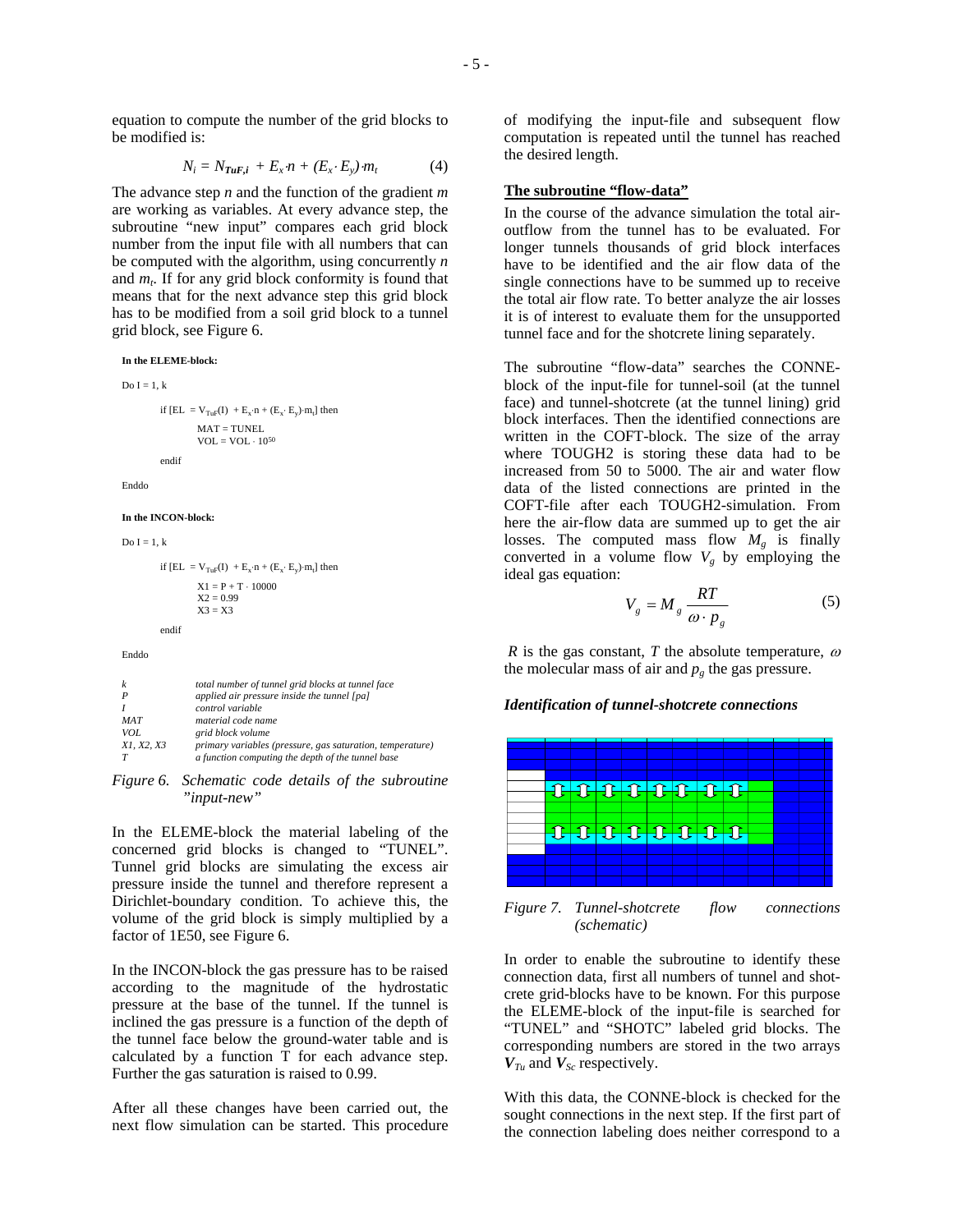$$
N_i = N_{\mathbf{T} u \mathbf{F}, i} + E_x \cdot n + (E_x \cdot E_y) \cdot m_t \tag{4}
$$

The advance step *n* and the function of the gradient *m* are working as variables. At every advance step, the subroutine "new input" compares each grid block number from the input file with all numbers that can be computed with the algorithm, using concurrently *n* and  $m_t$ . If for any grid block conformity is found that means that for the next advance step this grid block has to be modified from a soil grid block to a tunnel grid block, see Figure 6.

**In the ELEME-block:**

```
Do I = 1, kif [EL = V_{TuF}(I) + E_x \cdot n + (E_x \cdot E_y) \cdot m_t] then
                     MAT = TLINEI.
                     VOL = VOL \cdot 10^{50}endif
Enddo
In the INCON-block:
```

```
Do I = 1, k
```

```
if [EL = V_{TuF}(I) + E_x \cdot n + (E_x \cdot E_y) \cdot m_t] then
             \text{X1} = \text{P} + \text{T} \cdot 10000X2 = 0.99X3 = X3endif
```
#### Enddo

| k          | total number of tunnel grid blocks at tunnel face         |
|------------|-----------------------------------------------------------|
| P          | applied air pressure inside the tunnel [pa]               |
|            | control variable                                          |
| <b>MAT</b> | material code name                                        |
| VOL        | grid block volume                                         |
| X1. X2. X3 | primary variables (pressure, gas saturation, temperature) |
|            | a function computing the depth of the tunnel base         |

*Figure 6. Schematic code details of the subroutine "input-new"* 

In the ELEME-block the material labeling of the concerned grid blocks is changed to "TUNEL". Tunnel grid blocks are simulating the excess air pressure inside the tunnel and therefore represent a Dirichlet-boundary condition. To achieve this, the volume of the grid block is simply multiplied by a factor of 1E50, see Figure 6.

In the INCON-block the gas pressure has to be raised according to the magnitude of the hydrostatic pressure at the base of the tunnel. If the tunnel is inclined the gas pressure is a function of the depth of the tunnel face below the ground-water table and is calculated by a function T for each advance step. Further the gas saturation is raised to 0.99.

After all these changes have been carried out, the next flow simulation can be started. This procedure of modifying the input-file and subsequent flow computation is repeated until the tunnel has reached the desired length.

### **The subroutine "flow-data"**

In the course of the advance simulation the total airoutflow from the tunnel has to be evaluated. For longer tunnels thousands of grid block interfaces have to be identified and the air flow data of the single connections have to be summed up to receive the total air flow rate. To better analyze the air losses it is of interest to evaluate them for the unsupported tunnel face and for the shotcrete lining separately.

The subroutine "flow-data" searches the CONNEblock of the input-file for tunnel-soil (at the tunnel face) and tunnel-shotcrete (at the tunnel lining) grid block interfaces. Then the identified connections are written in the COFT-block. The size of the array where TOUGH2 is storing these data had to be increased from 50 to 5000. The air and water flow data of the listed connections are printed in the COFT-file after each TOUGH2-simulation. From here the air-flow data are summed up to get the air losses. The computed mass flow  $M_{\varphi}$  is finally converted in a volume flow  $V_g$  by employing the ideal gas equation:

$$
V_g = M_g \frac{RT}{\omega \cdot p_g} \tag{5}
$$

*R* is the gas constant, *T* the absolute temperature,  $\omega$ the molecular mass of air and  $p_g$  the gas pressure.

# *Identification of tunnel-shotcrete connections*



*Figure 7. Tunnel-shotcrete flow connections (schematic)* 

In order to enable the subroutine to identify these connection data, first all numbers of tunnel and shotcrete grid-blocks have to be known. For this purpose the ELEME-block of the input-file is searched for "TUNEL" and "SHOTC" labeled grid blocks. The corresponding numbers are stored in the two arrays  $V_{\mathcal{I}u}$  and  $V_{\mathcal{S}c}$  respectively.

With this data, the CONNE-block is checked for the sought connections in the next step. If the first part of the connection labeling does neither correspond to a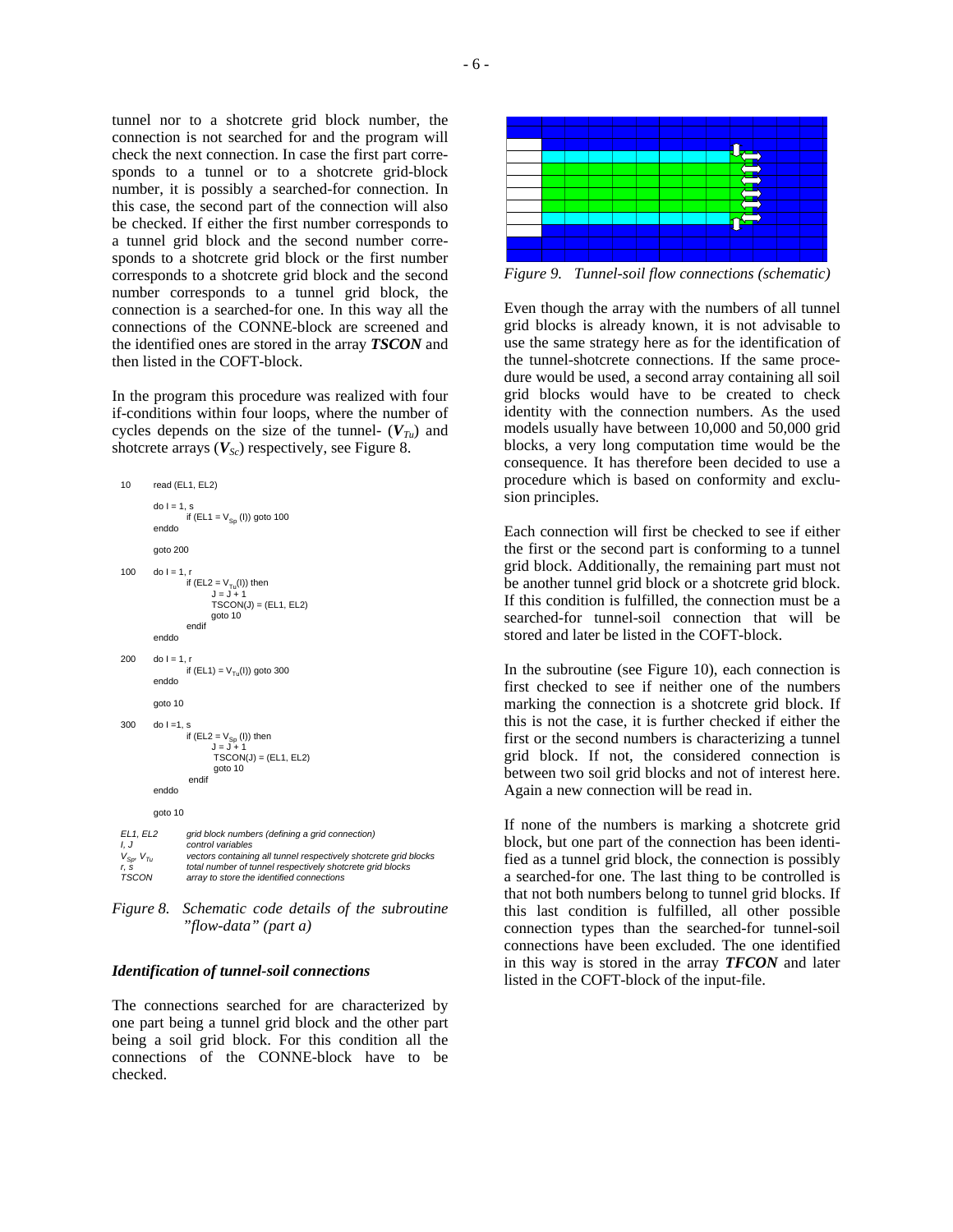tunnel nor to a shotcrete grid block number, the connection is not searched for and the program will check the next connection. In case the first part corresponds to a tunnel or to a shotcrete grid-block number, it is possibly a searched-for connection. In this case, the second part of the connection will also be checked. If either the first number corresponds to a tunnel grid block and the second number corresponds to a shotcrete grid block or the first number corresponds to a shotcrete grid block and the second number corresponds to a tunnel grid block, the connection is a searched-for one. In this way all the connections of the CONNE-block are screened and the identified ones are stored in the array *TSCON* and then listed in the COFT-block.

In the program this procedure was realized with four if-conditions within four loops, where the number of cycles depends on the size of the tunnel-  $(V_{Tu})$  and shotcrete arrays  $(V_{Sc})$  respectively, see Figure 8.

```
10 read (EL1, EL2)
         do I = 1, s
                  if (EL1 = V_{\text{Sn}} (I)) goto 100
         enddo
         goto 200
100 \text{do I} = 1.1if (EL2 = V_{Tu}(I)) then
                           J = J + 1
TSCON(J) = (EL1, EL2)
                          goto 10
                   endif
         enddo
200 do I = 1.
                   if (EL1) = V_{T_{11}}(I)) goto 300
         enddo
         goto 10
300 do 1 = 1, s
                   if (EL2 = V_{Sp} (I)) then<br>J = J + 1TSCON(J) = (EL1, EL2)goto 10 
                   endif
         enddo
         goto 10 
EL1, EL2 grid block numbers (defining a grid connection)
                   \overline{c} control variables
VSp, VTu vectors containing all tunnel respectively shotcrete grid blocks
r, s total number of tunnel respectively shotcrete grid blocks
TSCON array to store the identified connections
```
*Figure 8. Schematic code details of the subroutine "flow-data" (part a)* 

# *Identification of tunnel-soil connections*

The connections searched for are characterized by one part being a tunnel grid block and the other part being a soil grid block. For this condition all the connections of the CONNE-block have to be checked.



*Figure 9. Tunnel-soil flow connections (schematic)* 

Even though the array with the numbers of all tunnel grid blocks is already known, it is not advisable to use the same strategy here as for the identification of the tunnel-shotcrete connections. If the same procedure would be used, a second array containing all soil grid blocks would have to be created to check identity with the connection numbers. As the used models usually have between 10,000 and 50,000 grid blocks, a very long computation time would be the consequence. It has therefore been decided to use a procedure which is based on conformity and exclusion principles.

Each connection will first be checked to see if either the first or the second part is conforming to a tunnel grid block. Additionally, the remaining part must not be another tunnel grid block or a shotcrete grid block. If this condition is fulfilled, the connection must be a searched-for tunnel-soil connection that will be stored and later be listed in the COFT-block.

In the subroutine (see Figure 10), each connection is first checked to see if neither one of the numbers marking the connection is a shotcrete grid block. If this is not the case, it is further checked if either the first or the second numbers is characterizing a tunnel grid block. If not, the considered connection is between two soil grid blocks and not of interest here. Again a new connection will be read in.

If none of the numbers is marking a shotcrete grid block, but one part of the connection has been identified as a tunnel grid block, the connection is possibly a searched-for one. The last thing to be controlled is that not both numbers belong to tunnel grid blocks. If this last condition is fulfilled, all other possible connection types than the searched-for tunnel-soil connections have been excluded. The one identified in this way is stored in the array *TFCON* and later listed in the COFT-block of the input-file.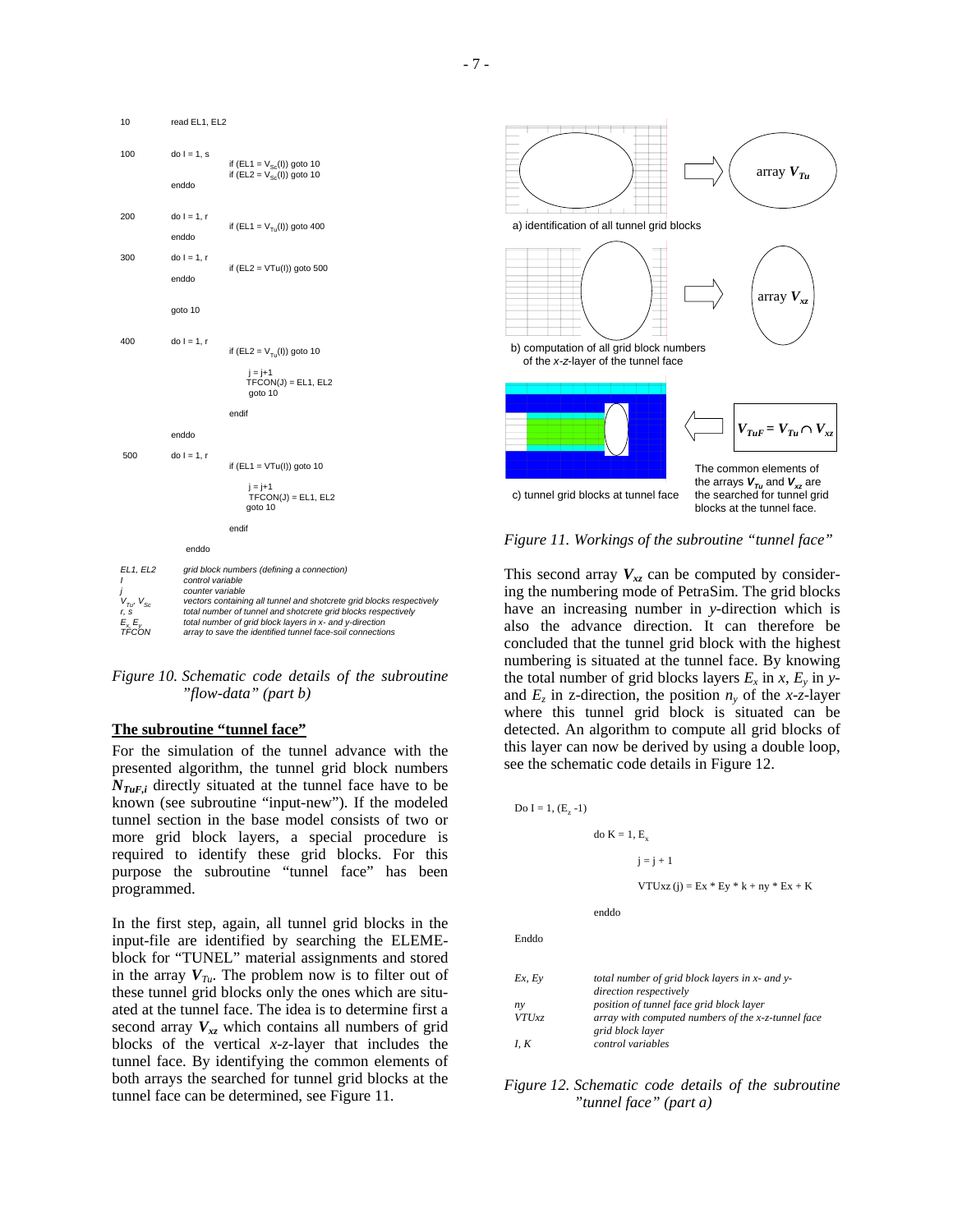

*Figure 10. Schematic code details of the subroutine "flow-data" (part b)* 

#### **The subroutine "tunnel face"**

For the simulation of the tunnel advance with the presented algorithm, the tunnel grid block numbers  $N_{TuF,i}$  directly situated at the tunnel face have to be known (see subroutine "input-new"). If the modeled tunnel section in the base model consists of two or more grid block layers, a special procedure is required to identify these grid blocks. For this purpose the subroutine "tunnel face" has been programmed.

In the first step, again, all tunnel grid blocks in the input-file are identified by searching the ELEMEblock for "TUNEL" material assignments and stored in the array  $V_{Tu}$ . The problem now is to filter out of these tunnel grid blocks only the ones which are situated at the tunnel face. The idea is to determine first a second array  $V_{xz}$  which contains all numbers of grid blocks of the vertical *x-z*-layer that includes the tunnel face. By identifying the common elements of both arrays the searched for tunnel grid blocks at the tunnel face can be determined, see Figure 11.



*Figure 11. Workings of the subroutine "tunnel face"* 

This second array  $V_{xz}$  can be computed by considering the numbering mode of PetraSim. The grid blocks have an increasing number in *y*-direction which is also the advance direction. It can therefore be concluded that the tunnel grid block with the highest numbering is situated at the tunnel face. By knowing the total number of grid blocks layers  $E_x$  in  $x$ ,  $E_y$  in  $y$ and  $E_z$  in z-direction, the position  $n_y$  of the *x*-z-layer where this tunnel grid block is situated can be detected. An algorithm to compute all grid blocks of this layer can now be derived by using a double loop, see the schematic code details in Figure 12.

Do  $I = 1, (E, -1)$ 

do  $K = 1$ ,  $E<sub>v</sub>$ 

 $i = i + 1$ 

 $VTUxz (j) = Ex * Ey * k + ny * Ex + K$ 

enddo

Enddo

| Ex, Ey       | total number of grid block layers in x- and y-     |
|--------------|----------------------------------------------------|
|              | direction respectively                             |
| $n_{\rm V}$  | position of tunnel face grid block layer           |
| <b>VTUxz</b> | array with computed numbers of the x-z-tunnel face |
|              | grid block layer                                   |
| I, K         | control variables                                  |

*Figure 12. Schematic code details of the subroutine "tunnel face" (part a)*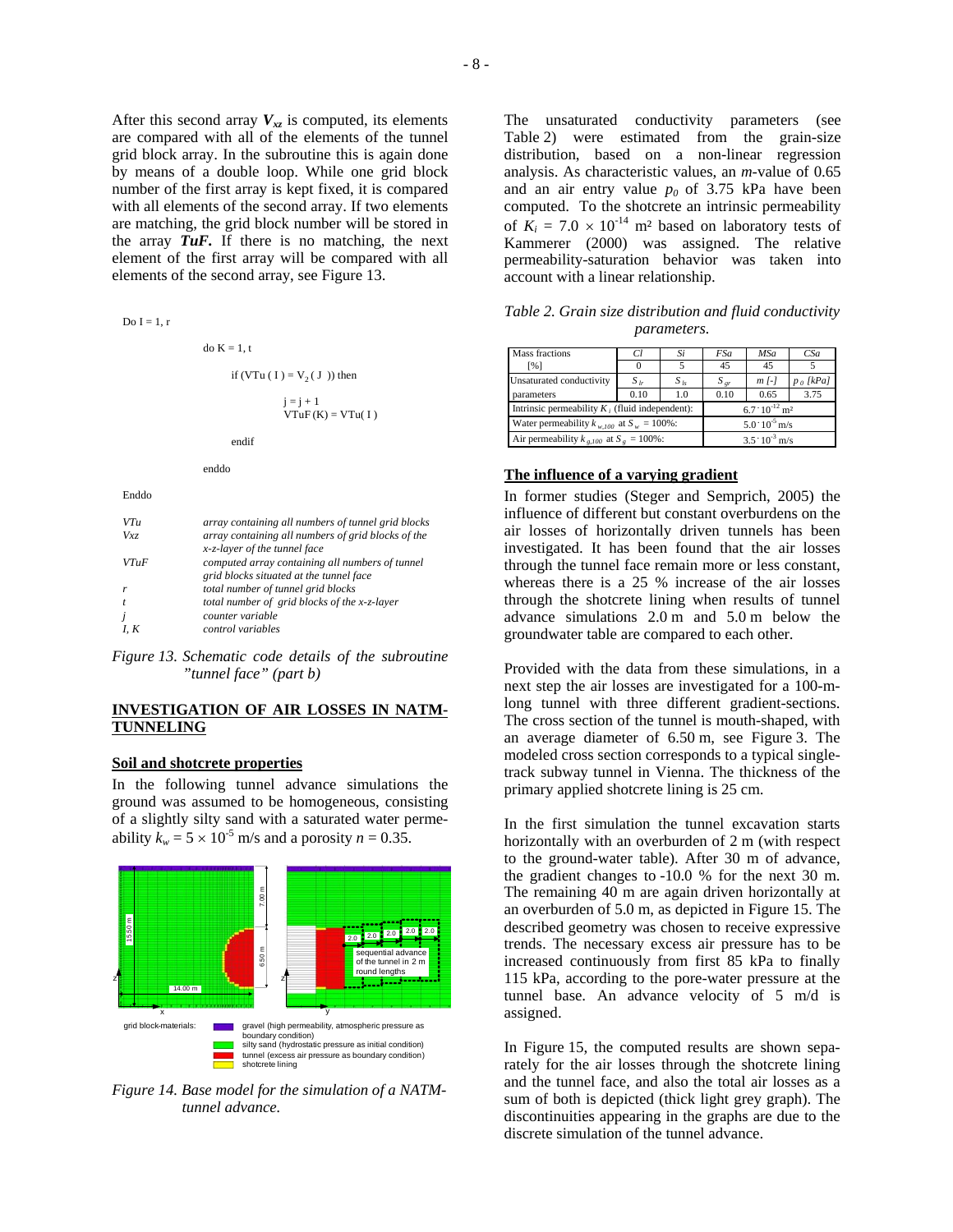After this second array  $V_{xz}$  is computed, its elements are compared with all of the elements of the tunnel grid block array. In the subroutine this is again done by means of a double loop. While one grid block number of the first array is kept fixed, it is compared with all elements of the second array. If two elements are matching, the grid block number will be stored in the array *TuF.* If there is no matching, the next element of the first array will be compared with all elements of the second array, see Figure 13.

| $Do I = 1, r$ |                                                                                                                                          |
|---------------|------------------------------------------------------------------------------------------------------------------------------------------|
|               | $\text{do } K = 1, t$                                                                                                                    |
|               | if (VTu ( I ) = $V_2$ ( J )) then                                                                                                        |
|               | $i = i + 1$<br>$VTuF(K) = VTu(I)$                                                                                                        |
|               | endif                                                                                                                                    |
|               | enddo                                                                                                                                    |
| Enddo         |                                                                                                                                          |
| VTu<br>Vxz    | array containing all numbers of tunnel grid blocks<br>array containing all numbers of grid blocks of the<br>x-z-layer of the tunnel face |
| V T u F       | computed array containing all numbers of tunnel<br>grid blocks situated at the tunnel face                                               |
| r             | total number of tunnel grid blocks                                                                                                       |
| t             | total number of grid blocks of the x-z-layer                                                                                             |
| j             | counter variable                                                                                                                         |
| I, K          | control variables                                                                                                                        |

*Figure 13. Schematic code details of the subroutine "tunnel face" (part b)* 

# **INVESTIGATION OF AIR LOSSES IN NATM-TUNNELING**

### **Soil and shotcrete properties**

In the following tunnel advance simulations the ground was assumed to be homogeneous, consisting of a slightly silty sand with a saturated water permeability  $k_w = 5 \times 10^{-5}$  m/s and a porosity  $n = 0.35$ .



*Figure 14. Base model for the simulation of a NATMtunnel advance.* 

The unsaturated conductivity parameters (see Table 2) were estimated from the grain-size distribution, based on a non-linear regression analysis. As characteristic values, an *m*-value of 0.65 and an air entry value  $p_0$  of 3.75 kPa have been computed. To the shotcrete an intrinsic permeability of  $K_i = 7.0 \times 10^{-14}$  m<sup>2</sup> based on laboratory tests of Kammerer (2000) was assigned. The relative permeability-saturation behavior was taken into account with a linear relationship.

*Table 2. Grain size distribution and fluid conductivity parameters.* 

| Mass fractions                                    | CΊ       | Si                      | <b>FSa</b>                          | <b>MSa</b>            | CSa         |  |
|---------------------------------------------------|----------|-------------------------|-------------------------------------|-----------------------|-------------|--|
| [%]                                               |          |                         | 45                                  | 45                    |             |  |
| Unsaturated conductivity                          | $S_{lr}$ | $S_{ls}$                | $S_{gr}$                            | $m$ $\lceil - \rceil$ | $p_0$ [kPa] |  |
| parameters                                        | 0.10     | 1.0                     | 0.10                                | 0.65                  | 3.75        |  |
| Intrinsic permeability $K_i$ (fluid independent): |          |                         | $6.7 \cdot 10^{-12}$ m <sup>2</sup> |                       |             |  |
| Water permeability $k_{w,100}$ at $S_w = 100\%$ : |          |                         | $5.0 \cdot 10^{-5}$ m/s             |                       |             |  |
| Air permeability $k_{e,100}$ at $S_e = 100\%$ :   |          | $3.5 \cdot 10^{-3}$ m/s |                                     |                       |             |  |

# **The influence of a varying gradient**

In former studies (Steger and Semprich, 2005) the influence of different but constant overburdens on the air losses of horizontally driven tunnels has been investigated. It has been found that the air losses through the tunnel face remain more or less constant, whereas there is a 25 % increase of the air losses through the shotcrete lining when results of tunnel advance simulations 2.0 m and 5.0 m below the groundwater table are compared to each other.

Provided with the data from these simulations, in a next step the air losses are investigated for a 100-mlong tunnel with three different gradient-sections. The cross section of the tunnel is mouth-shaped, with an average diameter of 6.50 m, see Figure 3. The modeled cross section corresponds to a typical singletrack subway tunnel in Vienna. The thickness of the primary applied shotcrete lining is 25 cm.

In the first simulation the tunnel excavation starts horizontally with an overburden of 2 m (with respect to the ground-water table). After 30 m of advance, the gradient changes to -10.0 % for the next 30 m. The remaining 40 m are again driven horizontally at an overburden of 5.0 m, as depicted in Figure 15. The described geometry was chosen to receive expressive trends. The necessary excess air pressure has to be increased continuously from first 85 kPa to finally 115 kPa, according to the pore-water pressure at the tunnel base. An advance velocity of 5 m/d is assigned.

In Figure 15, the computed results are shown separately for the air losses through the shotcrete lining and the tunnel face, and also the total air losses as a sum of both is depicted (thick light grey graph). The discontinuities appearing in the graphs are due to the discrete simulation of the tunnel advance.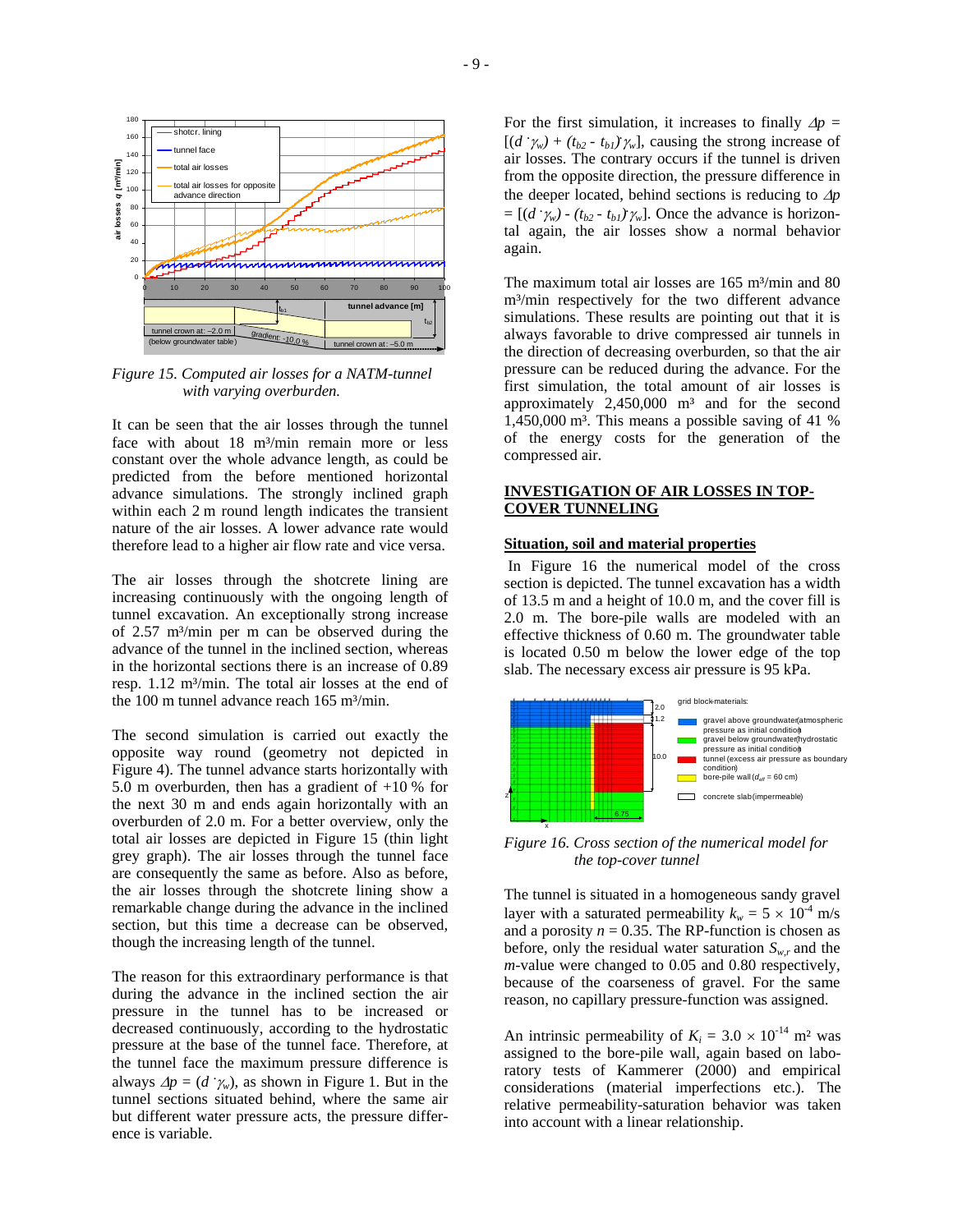

*Figure 15. Computed air losses for a NATM-tunnel with varying overburden.* 

It can be seen that the air losses through the tunnel face with about 18 m<sup>3</sup>/min remain more or less constant over the whole advance length, as could be predicted from the before mentioned horizontal advance simulations. The strongly inclined graph within each 2 m round length indicates the transient nature of the air losses. A lower advance rate would therefore lead to a higher air flow rate and vice versa.

The air losses through the shotcrete lining are increasing continuously with the ongoing length of tunnel excavation. An exceptionally strong increase of 2.57 m³/min per m can be observed during the advance of the tunnel in the inclined section, whereas in the horizontal sections there is an increase of 0.89 resp. 1.12 m<sup>3</sup>/min. The total air losses at the end of the 100 m tunnel advance reach 165 m<sup>3</sup>/min.

The second simulation is carried out exactly the opposite way round (geometry not depicted in Figure 4). The tunnel advance starts horizontally with 5.0 m overburden, then has a gradient of  $+10\%$  for the next 30 m and ends again horizontally with an overburden of 2.0 m. For a better overview, only the total air losses are depicted in Figure 15 (thin light grey graph). The air losses through the tunnel face are consequently the same as before. Also as before, the air losses through the shotcrete lining show a remarkable change during the advance in the inclined section, but this time a decrease can be observed, though the increasing length of the tunnel.

The reason for this extraordinary performance is that during the advance in the inclined section the air pressure in the tunnel has to be increased or decreased continuously, according to the hydrostatic pressure at the base of the tunnel face. Therefore, at the tunnel face the maximum pressure difference is always  $\Delta p = (d \gamma_w)$ , as shown in Figure 1. But in the tunnel sections situated behind, where the same air but different water pressure acts, the pressure difference is variable.

For the first simulation, it increases to finally  $\Delta p =$  $[(d^{\cdot}\gamma_w) + (t_{b2} - t_{b1})\gamma_w]$ , causing the strong increase of air losses. The contrary occurs if the tunnel is driven from the opposite direction, the pressure difference in the deeper located, behind sections is reducing to ∆*p*  $= [(d^{\prime}\gamma_w) - (t_{b2} - t_{b1})\gamma_w]$ . Once the advance is horizontal again, the air losses show a normal behavior again.

The maximum total air losses are  $165$  m<sup>3</sup>/min and 80 m<sup>3</sup>/min respectively for the two different advance simulations. These results are pointing out that it is always favorable to drive compressed air tunnels in the direction of decreasing overburden, so that the air pressure can be reduced during the advance. For the first simulation, the total amount of air losses is approximately  $2,450,000$  m<sup>3</sup> and for the second 1,450,000 m<sup>3</sup>. This means a possible saving of 41  $%$ of the energy costs for the generation of the compressed air.

# **INVESTIGATION OF AIR LOSSES IN TOP-COVER TUNNELING**

### **Situation, soil and material properties**

In Figure 16 the numerical model of the cross section is depicted. The tunnel excavation has a width of 13.5 m and a height of 10.0 m, and the cover fill is 2.0 m. The bore-pile walls are modeled with an effective thickness of 0.60 m. The groundwater table is located 0.50 m below the lower edge of the top slab. The necessary excess air pressure is 95 kPa.



*Figure 16. Cross section of the numerical model for the top-cover tunnel* 

The tunnel is situated in a homogeneous sandy gravel layer with a saturated permeability  $k_w = 5 \times 10^{-4}$  m/s and a porosity  $n = 0.35$ . The RP-function is chosen as before, only the residual water saturation  $S_{w,r}$  and the *m*-value were changed to 0.05 and 0.80 respectively, because of the coarseness of gravel. For the same reason, no capillary pressure-function was assigned.

An intrinsic permeability of  $K_i = 3.0 \times 10^{-14}$  m<sup>2</sup> was assigned to the bore-pile wall, again based on laboratory tests of Kammerer (2000) and empirical considerations (material imperfections etc.). The relative permeability-saturation behavior was taken into account with a linear relationship.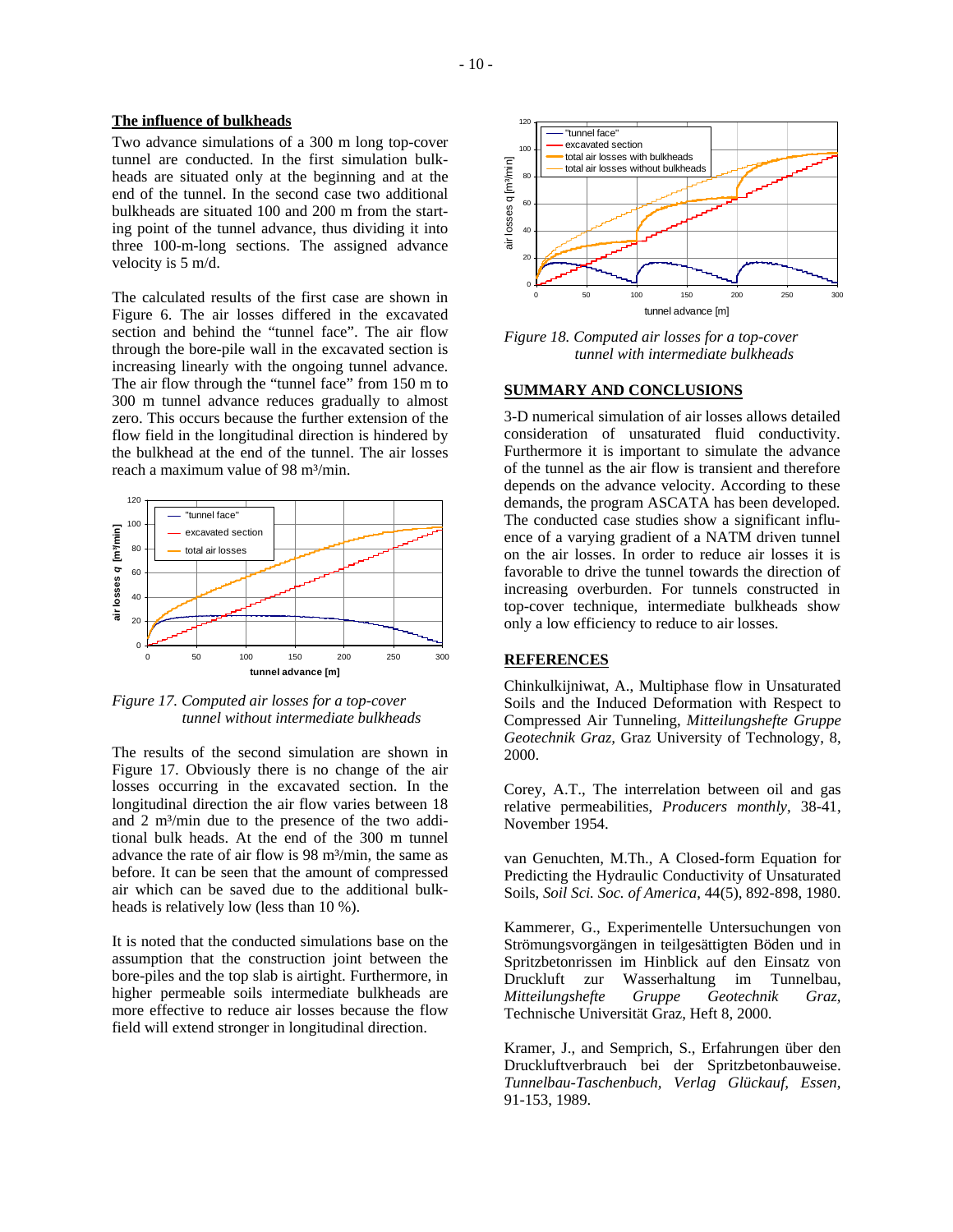# **The influence of bulkheads**

Two advance simulations of a 300 m long top-cover tunnel are conducted. In the first simulation bulkheads are situated only at the beginning and at the end of the tunnel. In the second case two additional bulkheads are situated 100 and 200 m from the starting point of the tunnel advance, thus dividing it into three 100-m-long sections. The assigned advance velocity is 5 m/d.

The calculated results of the first case are shown in Figure 6. The air losses differed in the excavated section and behind the "tunnel face". The air flow through the bore-pile wall in the excavated section is increasing linearly with the ongoing tunnel advance. The air flow through the "tunnel face" from 150 m to 300 m tunnel advance reduces gradually to almost zero. This occurs because the further extension of the flow field in the longitudinal direction is hindered by the bulkhead at the end of the tunnel. The air losses reach a maximum value of 98 m<sup>3</sup>/min.



*Figure 17. Computed air losses for a top-cover tunnel without intermediate bulkheads* 

The results of the second simulation are shown in Figure 17. Obviously there is no change of the air losses occurring in the excavated section. In the longitudinal direction the air flow varies between 18 and 2 m<sup>3</sup>/min due to the presence of the two additional bulk heads. At the end of the 300 m tunnel advance the rate of air flow is 98 m³/min, the same as before. It can be seen that the amount of compressed air which can be saved due to the additional bulkheads is relatively low (less than 10 %).

It is noted that the conducted simulations base on the assumption that the construction joint between the bore-piles and the top slab is airtight. Furthermore, in higher permeable soils intermediate bulkheads are more effective to reduce air losses because the flow field will extend stronger in longitudinal direction.



*Figure 18. Computed air losses for a top-cover tunnel with intermediate bulkheads* 

#### **SUMMARY AND CONCLUSIONS**

3-D numerical simulation of air losses allows detailed consideration of unsaturated fluid conductivity. Furthermore it is important to simulate the advance of the tunnel as the air flow is transient and therefore depends on the advance velocity. According to these demands, the program ASCATA has been developed. The conducted case studies show a significant influence of a varying gradient of a NATM driven tunnel on the air losses. In order to reduce air losses it is favorable to drive the tunnel towards the direction of increasing overburden. For tunnels constructed in top-cover technique, intermediate bulkheads show only a low efficiency to reduce to air losses.

### **REFERENCES**

Chinkulkijniwat, A., Multiphase flow in Unsaturated Soils and the Induced Deformation with Respect to Compressed Air Tunneling, *Mitteilungshefte Gruppe Geotechnik Graz,* Graz University of Technology, 8, 2000.

Corey, A.T., The interrelation between oil and gas relative permeabilities, *Producers monthly*, 38-41, November 1954.

van Genuchten, M.Th., A Closed-form Equation for Predicting the Hydraulic Conductivity of Unsaturated Soils, *Soil Sci. Soc. of America*, 44(5), 892-898, 1980.

Kammerer, G., Experimentelle Untersuchungen von Strömungsvorgängen in teilgesättigten Böden und in Spritzbetonrissen im Hinblick auf den Einsatz von Druckluft zur Wasserhaltung im Tunnelbau, *Mitteilungshefte Gruppe Geotechnik Graz,*  Technische Universität Graz, Heft 8, 2000.

Kramer, J., and Semprich, S., Erfahrungen über den Druckluftverbrauch bei der Spritzbetonbauweise. *Tunnelbau-Taschenbuch, Verlag Glückauf, Essen*, 91-153, 1989.